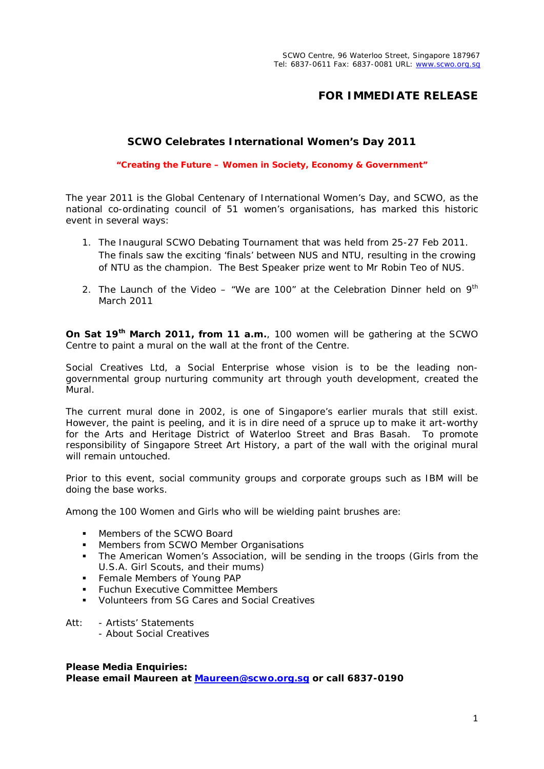## **FOR IMMEDIATE RELEASE**

## **SCWO Celebrates International Women's Day 2011**

**"Creating the Future – Women in Society, Economy & Government"**

The year 2011 is the Global Centenary of International Women's Day, and SCWO, as the national co-ordinating council of 51 women's organisations, has marked this historic event in several ways:

- 1. The Inaugural SCWO Debating Tournament that was held from 25-27 Feb 2011. The finals saw the exciting 'finals' between NUS and NTU, resulting in the crowing of NTU as the champion. The Best Speaker prize went to Mr Robin Teo of NUS.
- 2. The Launch of the Video "We are 100" at the Celebration Dinner held on  $9<sup>th</sup>$ March 2011

**On Sat 19th March 2011, from 11 a.m.**, 100 women will be gathering at the SCWO Centre to paint a mural on the wall at the front of the Centre.

Social Creatives Ltd, a Social Enterprise whose vision is to be the leading nongovernmental group nurturing community art through youth development, created the Mural.

The current mural done in 2002, is one of Singapore's earlier murals that still exist. However, the paint is peeling, and it is in dire need of a spruce up to make it art-worthy for the Arts and Heritage District of Waterloo Street and Bras Basah. To promote responsibility of Singapore Street Art History, a part of the wall with the original mural will remain untouched.

Prior to this event, social community groups and corporate groups such as IBM will be doing the base works.

Among the 100 Women and Girls who will be wielding paint brushes are:

- Members of the SCWO Board
- **Members from SCWO Member Organisations**
- The American Women's Association, will be sending in the troops (Girls from the U.S.A. Girl Scouts, and their mums)
- **Female Members of Young PAP**
- Fuchun Executive Committee Members
- Volunteers from SG Cares and Social Creatives
- Att: Artists' Statements - About Social Creatives

**Please Media Enquiries: Please email Maureen at [Maureen@scwo.org.sg](mailto:Maureen@scwo.org.sg) or call 6837-0190**